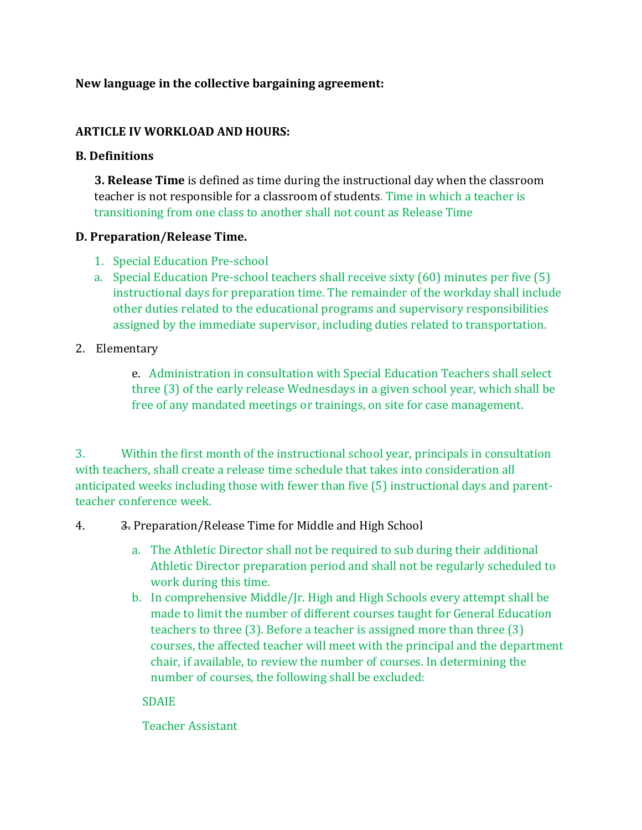### **New language in the collective bargaining agreement:**

### **ARTICLE IV WORKLOAD AND HOURS:**

### **B. Definitions**

**3. Release Time** is defined as time during the instructional day when the classroom teacher is not responsible for a classroom of students. Time in which a teacher is transitioning from one class to another shall not count as Release Time

### **D. Preparation/Release Time.**

- 1. Special Education Pre-school
- a. Special Education Pre-school teachers shall receive sixty (60) minutes per five (5) instructional days for preparation time. The remainder of the workday shall include other duties related to the educational programs and supervisory responsibilities assigned by the immediate supervisor, including duties related to transportation.

### 2. Elementary

e. Administration in consultation with Special Education Teachers shall select three (3) of the early release Wednesdays in a given school year, which shall be free of any mandated meetings or trainings, on site for case management.

3. Within the first month of the instructional school year, principals in consultation with teachers, shall create a release time schedule that takes into consideration all anticipated weeks including those with fewer than five (5) instructional days and parentteacher conference week.

### 4. 3. Preparation/Release Time for Middle and High School

- a. The Athletic Director shall not be required to sub during their additional Athletic Director preparation period and shall not be regularly scheduled to work during this time.
- b. In comprehensive Middle/Jr. High and High Schools every attempt shall be made to limit the number of different courses taught for General Education teachers to three (3). Before a teacher is assigned more than three (3) courses, the affected teacher will meet with the principal and the department chair, if available, to review the number of courses. In determining the number of courses, the following shall be excluded:

### SDAIE

Teacher Assistant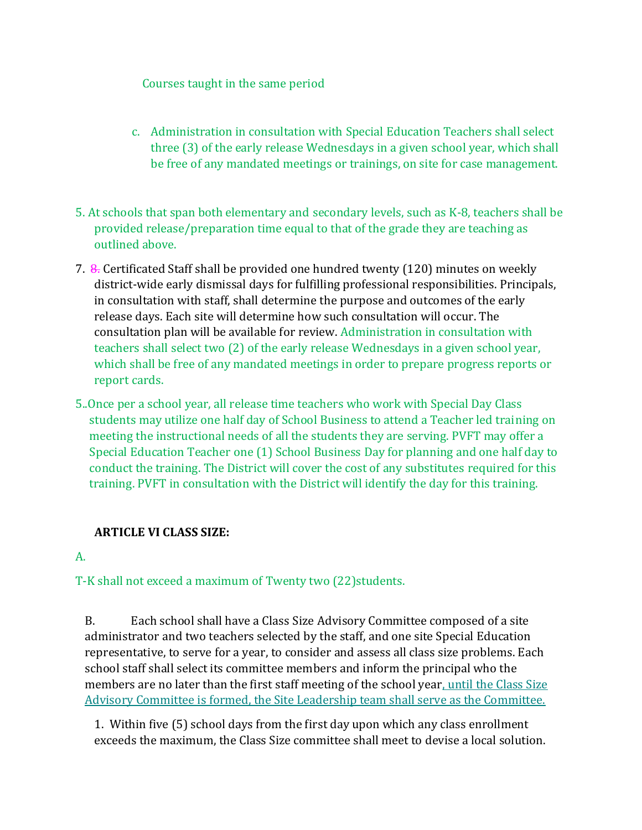Courses taught in the same period

- c. Administration in consultation with Special Education Teachers shall select three (3) of the early release Wednesdays in a given school year, which shall be free of any mandated meetings or trainings, on site for case management.
- 5. At schools that span both elementary and secondary levels, such as K-8, teachers shall be provided release/preparation time equal to that of the grade they are teaching as outlined above.
- 7. 8. Certificated Staff shall be provided one hundred twenty (120) minutes on weekly district-wide early dismissal days for fulfilling professional responsibilities. Principals, in consultation with staff, shall determine the purpose and outcomes of the early release days. Each site will determine how such consultation will occur. The consultation plan will be available for review. Administration in consultation with teachers shall select two (2) of the early release Wednesdays in a given school year, which shall be free of any mandated meetings in order to prepare progress reports or report cards.
- 5..Once per a school year, all release time teachers who work with Special Day Class students may utilize one half day of School Business to attend a Teacher led training on meeting the instructional needs of all the students they are serving. PVFT may offer a Special Education Teacher one (1) School Business Day for planning and one half day to conduct the training. The District will cover the cost of any substitutes required for this training. PVFT in consultation with the District will identify the day for this training.

## **ARTICLE VI CLASS SIZE:**

### A.

## T-K shall not exceed a maximum of Twenty two (22)students.

B. Each school shall have a Class Size Advisory Committee composed of a site administrator and two teachers selected by the staff, and one site Special Education representative, to serve for a year, to consider and assess all class size problems. Each school staff shall select its committee members and inform the principal who the members are no later than the first staff meeting of the school year, until the Class Size Advisory Committee is formed, the Site Leadership team shall serve as the Committee.

1. Within five (5) school days from the first day upon which any class enrollment exceeds the maximum, the Class Size committee shall meet to devise a local solution.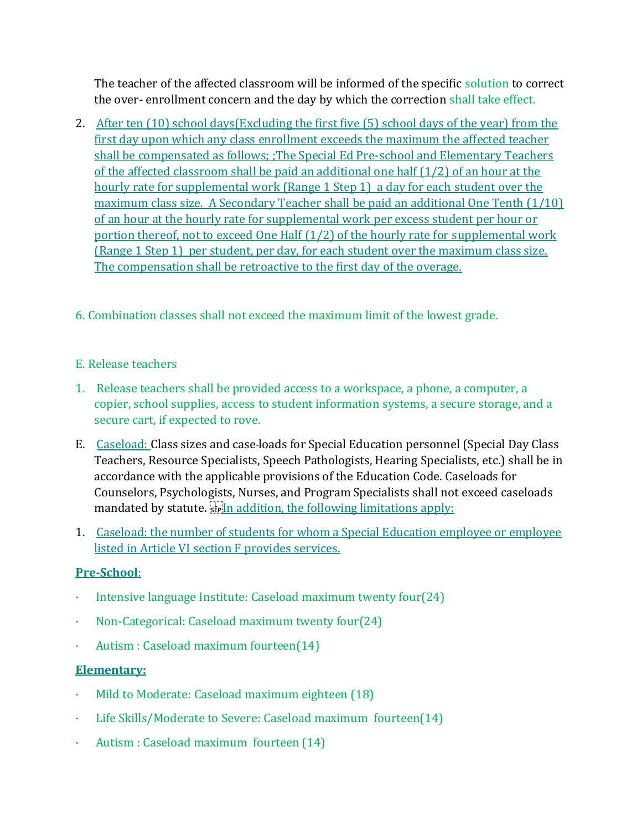The teacher of the affected classroom will be informed of the specific solution to correct the over- enrollment concern and the day by which the correction shall take effect.

- 2. After ten (10) school days(Excluding the first five (5) school days of the year) from the first day upon which any class enrollment exceeds the maximum the affected teacher shall be compensated as follows; ;The Special Ed Pre-school and Elementary Teachers of the affected classroom shall be paid an additional one half (1/2) of an hour at the hourly rate for supplemental work (Range 1 Step 1) a day for each student over the maximum class size. A Secondary Teacher shall be paid an additional One Tenth (1/10) of an hour at the hourly rate for supplemental work per excess student per hour or portion thereof, not to exceed One Half (1/2) of the hourly rate for supplemental work (Range 1 Step 1) per student, per day, for each student over the maximum class size. The compensation shall be retroactive to the first day of the overage.
- 6. Combination classes shall not exceed the maximum limit of the lowest grade.

## E. Release teachers

- 1. Release teachers shall be provided access to a workspace, a phone, a computer, a copier, school supplies, access to student information systems, a secure storage, and a secure cart, if expected to rove.
- E. Caseload: Class sizes and case loads for Special Education personnel (Special Day Class Teachers, Resource Specialists, Speech Pathologists, Hearing Specialists, etc.) shall be in accordance with the applicable provisions of the Education Code. Caseloads for Counselors, Psychologists, Nurses, and Program Specialists shall not exceed caseloads mandated by statute.  $\frac{1}{2}$  is in addition, the following limitations apply:
- 1. Caseload: the number of students for whom a Special Education employee or employee listed in Article VI section F provides services.

## **Pre-School**:

- Intensive language Institute: Caseload maximum twenty four  $(24)$
- · Non-Categorical: Caseload maximum twenty four(24)
- · Autism : Caseload maximum fourteen(14)

## **Elementary:**

- Mild to Moderate: Caseload maximum eighteen (18)
- Life Skills/Moderate to Severe: Caseload maximum fourteen(14)
- · Autism : Caseload maximum fourteen (14)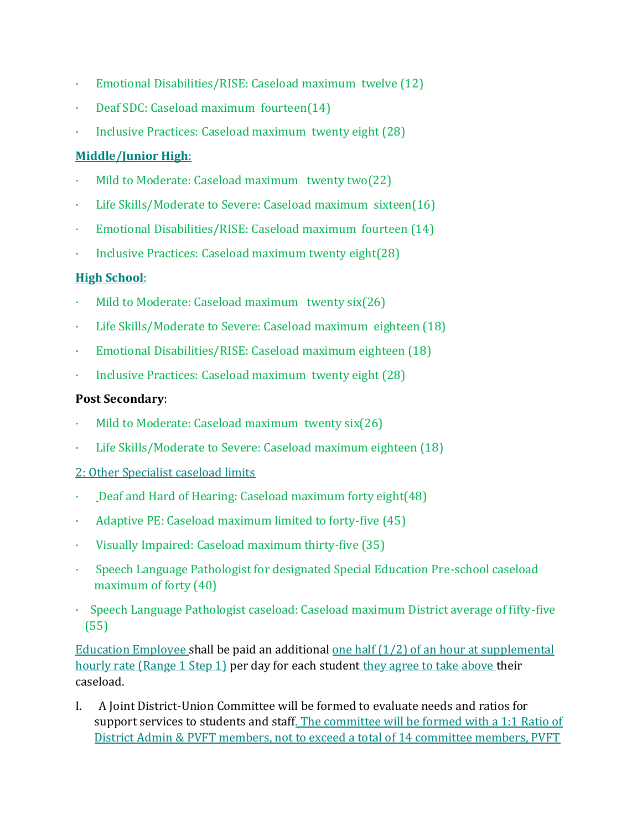- · Emotional Disabilities/RISE: Caseload maximum twelve (12)
- · Deaf SDC: Caseload maximum fourteen(14)
- Inclusive Practices: Caseload maximum twenty eight (28)

## **Middle/Junior High**:

- Mild to Moderate: Caseload maximum twenty two(22)
- Life Skills/Moderate to Severe: Caseload maximum sixteen(16)
- · Emotional Disabilities/RISE: Caseload maximum fourteen (14)
- · Inclusive Practices: Caseload maximum twenty eight(28)

## **High School**:

- Mild to Moderate: Caseload maximum twenty six(26)
- Life Skills/Moderate to Severe: Caseload maximum eighteen (18)
- · Emotional Disabilities/RISE: Caseload maximum eighteen (18)
- · Inclusive Practices: Caseload maximum twenty eight (28)

## **Post Secondary**:

- Mild to Moderate: Caseload maximum twenty  $six(26)$
- Life Skills/Moderate to Severe: Caseload maximum eighteen (18)

## 2: Other Specialist caseload limits

- · Deaf and Hard of Hearing: Caseload maximum forty eight(48)
- Adaptive PE: Caseload maximum limited to forty-five (45)
- · Visually Impaired: Caseload maximum thirty-five (35)
- · Speech Language Pathologist for designated Special Education Pre-school caseload maximum of forty (40)
- · Speech Language Pathologist caseload: Caseload maximum District average of fifty-five (55)

Education Employee shall be paid an additional one half  $(1/2)$  of an hour at supplemental hourly rate (Range 1 Step 1) per day for each student they agree to take above their caseload.

I. A Joint District-Union Committee will be formed to evaluate needs and ratios for support services to students and staff. The committee will be formed with a 1:1 Ratio of District Admin & PVFT members, not to exceed a total of 14 committee members, PVFT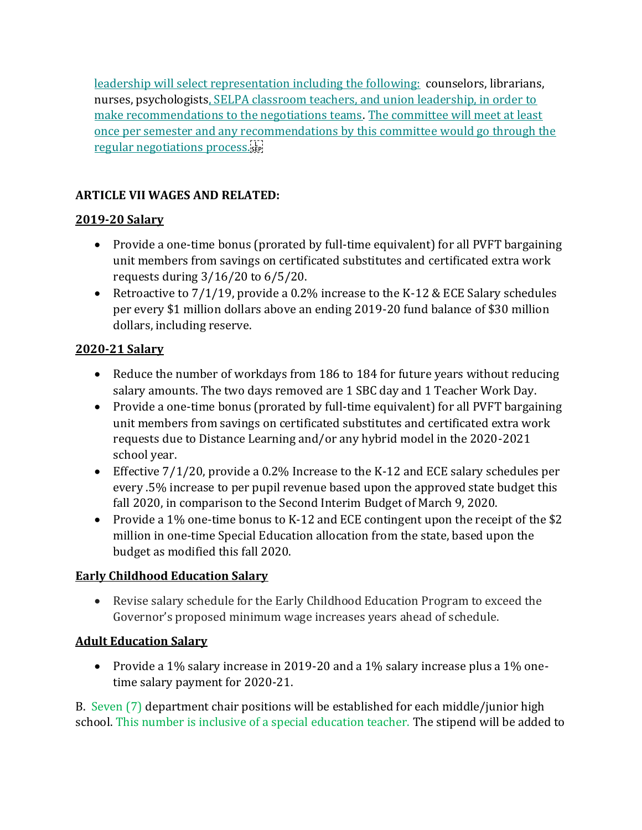leadership will select representation including the following: counselors, librarians, nurses, psychologists, SELPA classroom teachers, and union leadership, in order to make recommendations to the negotiations teams. The committee will meet at least once per semester and any recommendations by this committee would go through the regular negotiations process.

## **ARTICLE VII WAGES AND RELATED:**

# **2019-20 Salary**

- Provide a one-time bonus (prorated by full-time equivalent) for all PVFT bargaining unit members from savings on certificated substitutes and certificated extra work requests during 3/16/20 to 6/5/20.
- Retroactive to  $7/1/19$ , provide a 0.2% increase to the K-12 & ECE Salary schedules per every \$1 million dollars above an ending 2019-20 fund balance of \$30 million dollars, including reserve.

# **2020-21 Salary**

- Reduce the number of workdays from 186 to 184 for future years without reducing salary amounts. The two days removed are 1 SBC day and 1 Teacher Work Day.
- Provide a one-time bonus (prorated by full-time equivalent) for all PVFT bargaining unit members from savings on certificated substitutes and certificated extra work requests due to Distance Learning and/or any hybrid model in the 2020-2021 school year.
- Effective 7/1/20, provide a 0.2% Increase to the K-12 and ECE salary schedules per every .5% increase to per pupil revenue based upon the approved state budget this fall 2020, in comparison to the Second Interim Budget of March 9, 2020.
- Provide a 1% one-time bonus to K-12 and ECE contingent upon the receipt of the \$2 million in one-time Special Education allocation from the state, based upon the budget as modified this fall 2020.

# **Early Childhood Education Salary**

• Revise salary schedule for the Early Childhood Education Program to exceed the Governor's proposed minimum wage increases years ahead of schedule.

# **Adult Education Salary**

• Provide a 1% salary increase in 2019-20 and a 1% salary increase plus a 1% onetime salary payment for 2020-21.

B. Seven (7) department chair positions will be established for each middle/junior high school. This number is inclusive of a special education teacher. The stipend will be added to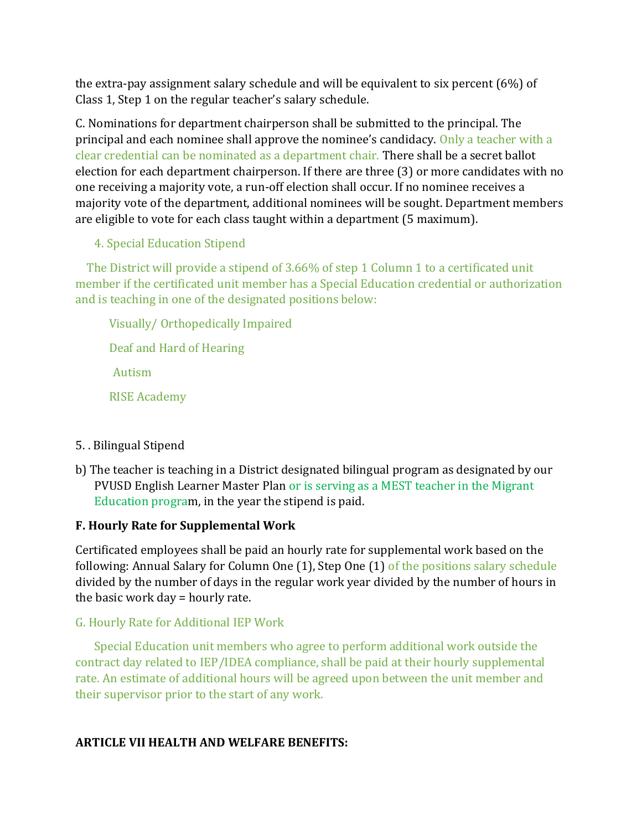the extra-pay assignment salary schedule and will be equivalent to six percent (6%) of Class 1, Step 1 on the regular teacher's salary schedule.

C. Nominations for department chairperson shall be submitted to the principal. The principal and each nominee shall approve the nominee's candidacy. Only a teacher with a clear credential can be nominated as a department chair. There shall be a secret ballot election for each department chairperson. If there are three (3) or more candidates with no one receiving a majority vote, a run-off election shall occur. If no nominee receives a majority vote of the department, additional nominees will be sought. Department members are eligible to vote for each class taught within a department (5 maximum).

4. Special Education Stipend

 The District will provide a stipend of 3.66% of step 1 Column 1 to a certificated unit member if the certificated unit member has a Special Education credential or authorization and is teaching in one of the designated positions below:

 Visually/ Orthopedically Impaired Deaf and Hard of Hearing Autism RISE Academy

- 5. . Bilingual Stipend
- b) The teacher is teaching in a District designated bilingual program as designated by our PVUSD English Learner Master Plan or is serving as a MEST teacher in the Migrant Education program, in the year the stipend is paid.

## **F. Hourly Rate for Supplemental Work**

Certificated employees shall be paid an hourly rate for supplemental work based on the following: Annual Salary for Column One (1), Step One (1) of the positions salary schedule divided by the number of days in the regular work year divided by the number of hours in the basic work day = hourly rate.

### G. Hourly Rate for Additional IEP Work

Special Education unit members who agree to perform additional work outside the contract day related to IEP/IDEA compliance, shall be paid at their hourly supplemental rate. An estimate of additional hours will be agreed upon between the unit member and their supervisor prior to the start of any work.

### **ARTICLE VII HEALTH AND WELFARE BENEFITS:**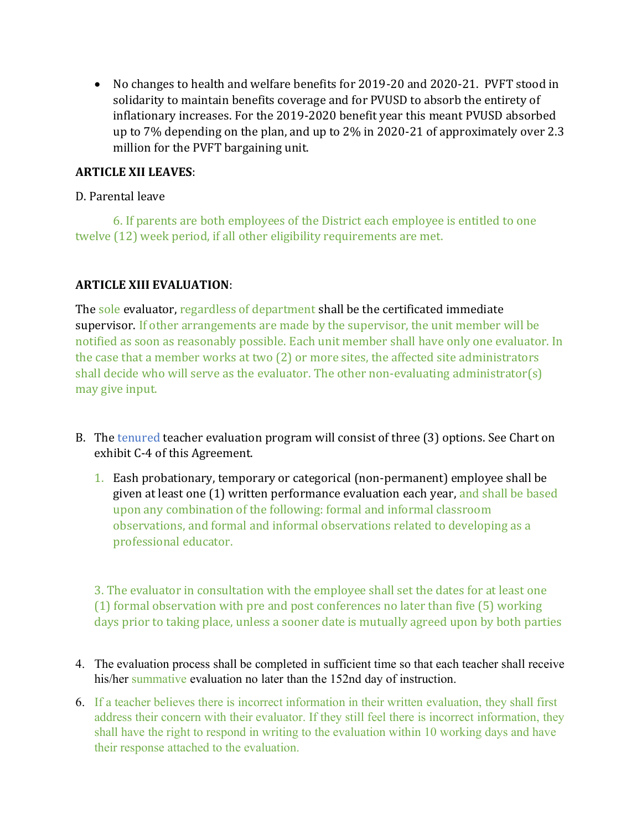• No changes to health and welfare benefits for 2019-20 and 2020-21. PVFT stood in solidarity to maintain benefits coverage and for PVUSD to absorb the entirety of inflationary increases. For the 2019-2020 benefit year this meant PVUSD absorbed up to 7% depending on the plan, and up to 2% in 2020-21 of approximately over 2.3 million for the PVFT bargaining unit.

### **ARTICLE XII LEAVES**:

### D. Parental leave

6. If parents are both employees of the District each employee is entitled to one twelve (12) week period, if all other eligibility requirements are met.

### **ARTICLE XIII EVALUATION**:

The sole evaluator, regardless of department shall be the certificated immediate supervisor. If other arrangements are made by the supervisor, the unit member will be notified as soon as reasonably possible. Each unit member shall have only one evaluator. In the case that a member works at two (2) or more sites, the affected site administrators shall decide who will serve as the evaluator. The other non-evaluating administrator(s) may give input.

- B. The tenured teacher evaluation program will consist of three (3) options. See Chart on exhibit C-4 of this Agreement.
	- 1. Eash probationary, temporary or categorical (non-permanent) employee shall be given at least one (1) written performance evaluation each year, and shall be based upon any combination of the following: formal and informal classroom observations, and formal and informal observations related to developing as a professional educator.

3. The evaluator in consultation with the employee shall set the dates for at least one (1) formal observation with pre and post conferences no later than five (5) working days prior to taking place, unless a sooner date is mutually agreed upon by both parties

- 4. The evaluation process shall be completed in sufficient time so that each teacher shall receive his/her summative evaluation no later than the 152nd day of instruction.
- 6. If a teacher believes there is incorrect information in their written evaluation, they shall first address their concern with their evaluator. If they still feel there is incorrect information, they shall have the right to respond in writing to the evaluation within 10 working days and have their response attached to the evaluation.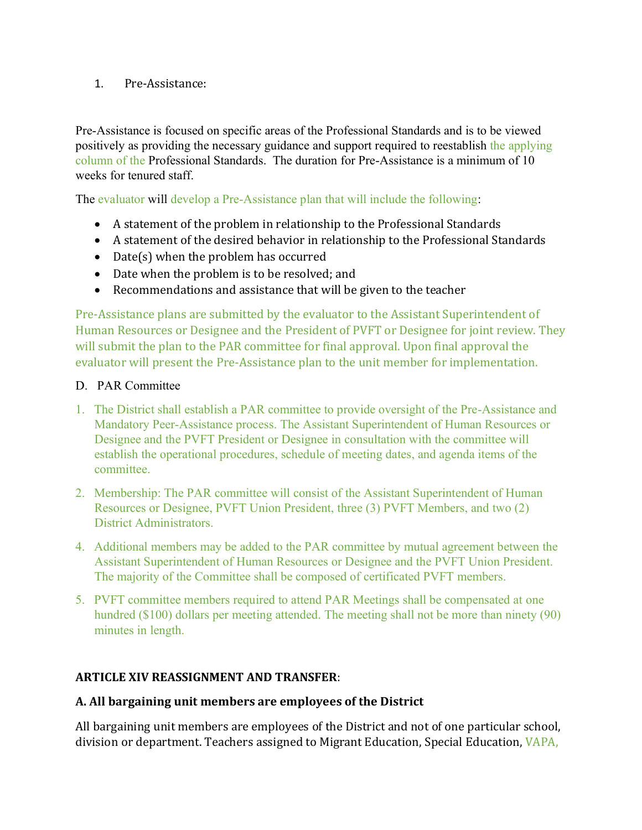### 1. Pre-Assistance:

Pre-Assistance is focused on specific areas of the Professional Standards and is to be viewed positively as providing the necessary guidance and support required to reestablish the applying column of the Professional Standards. The duration for Pre-Assistance is a minimum of 10 weeks for tenured staff.

The evaluator will develop a Pre-Assistance plan that will include the following:

- A statement of the problem in relationship to the Professional Standards
- A statement of the desired behavior in relationship to the Professional Standards
- Date(s) when the problem has occurred
- Date when the problem is to be resolved; and
- Recommendations and assistance that will be given to the teacher

Pre-Assistance plans are submitted by the evaluator to the Assistant Superintendent of Human Resources or Designee and the President of PVFT or Designee for joint review. They will submit the plan to the PAR committee for final approval. Upon final approval the evaluator will present the Pre-Assistance plan to the unit member for implementation.

### D. PAR Committee

- 1. The District shall establish a PAR committee to provide oversight of the Pre-Assistance and Mandatory Peer-Assistance process. The Assistant Superintendent of Human Resources or Designee and the PVFT President or Designee in consultation with the committee will establish the operational procedures, schedule of meeting dates, and agenda items of the committee.
- 2. Membership: The PAR committee will consist of the Assistant Superintendent of Human Resources or Designee, PVFT Union President, three (3) PVFT Members, and two (2) District Administrators.
- 4. Additional members may be added to the PAR committee by mutual agreement between the Assistant Superintendent of Human Resources or Designee and the PVFT Union President. The majority of the Committee shall be composed of certificated PVFT members.
- 5. PVFT committee members required to attend PAR Meetings shall be compensated at one hundred (\$100) dollars per meeting attended. The meeting shall not be more than ninety (90) minutes in length.

## **ARTICLE XIV REASSIGNMENT AND TRANSFER**:

## **A. All bargaining unit members are employees of the District**

All bargaining unit members are employees of the District and not of one particular school, division or department. Teachers assigned to Migrant Education, Special Education, VAPA,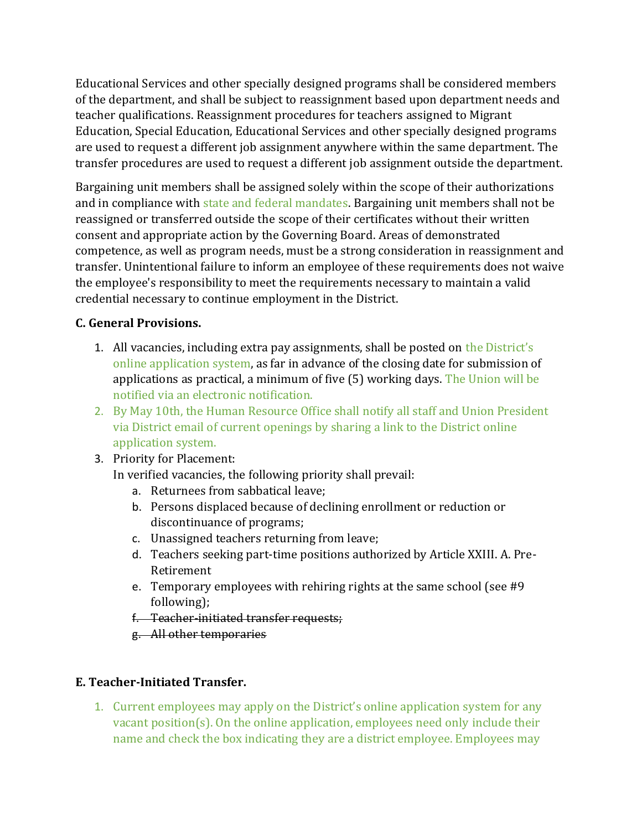Educational Services and other specially designed programs shall be considered members of the department, and shall be subject to reassignment based upon department needs and teacher qualifications. Reassignment procedures for teachers assigned to Migrant Education, Special Education, Educational Services and other specially designed programs are used to request a different job assignment anywhere within the same department. The transfer procedures are used to request a different job assignment outside the department.

Bargaining unit members shall be assigned solely within the scope of their authorizations and in compliance with state and federal mandates. Bargaining unit members shall not be reassigned or transferred outside the scope of their certificates without their written consent and appropriate action by the Governing Board. Areas of demonstrated competence, as well as program needs, must be a strong consideration in reassignment and transfer. Unintentional failure to inform an employee of these requirements does not waive the employee's responsibility to meet the requirements necessary to maintain a valid credential necessary to continue employment in the District.

## **C. General Provisions.**

- 1. All vacancies, including extra pay assignments, shall be posted on the District's online application system, as far in advance of the closing date for submission of applications as practical, a minimum of five (5) working days. The Union will be notified via an electronic notification.
- 2. By May 10th, the Human Resource Office shall notify all staff and Union President via District email of current openings by sharing a link to the District online application system.
- 3. Priority for Placement:

In verified vacancies, the following priority shall prevail:

- a. Returnees from sabbatical leave;
- b. Persons displaced because of declining enrollment or reduction or discontinuance of programs;
- c. Unassigned teachers returning from leave;
- d. Teachers seeking part-time positions authorized by Article XXIII. A. Pre-Retirement
- e. Temporary employees with rehiring rights at the same school (see #9 following);
- f. Teacher-initiated transfer requests;
- g. All other temporaries

## **E. Teacher-Initiated Transfer.**

1. Current employees may apply on the District's online application system for any vacant position(s). On the online application, employees need only include their name and check the box indicating they are a district employee. Employees may